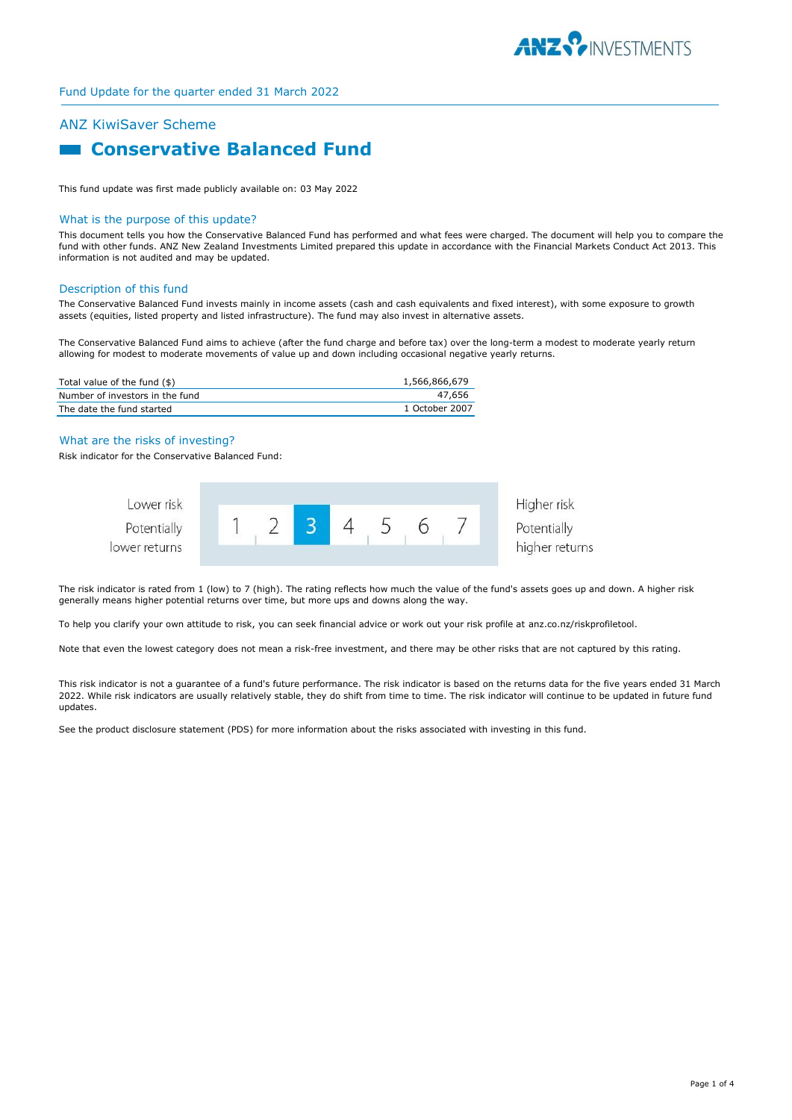

# ANZ KiwiSaver Scheme

# **Example 3 Conservative Balanced Fund**

This fund update was first made publicly available on: 03 May 2022

#### What is the purpose of this update?

This document tells you how the Conservative Balanced Fund has performed and what fees were charged. The document will help you to compare the fund with other funds. ANZ New Zealand Investments Limited prepared this update in accordance with the Financial Markets Conduct Act 2013. This information is not audited and may be updated.

#### Description of this fund

The Conservative Balanced Fund invests mainly in income assets (cash and cash equivalents and fixed interest), with some exposure to growth assets (equities, listed property and listed infrastructure). The fund may also invest in alternative assets.

The Conservative Balanced Fund aims to achieve (after the fund charge and before tax) over the long-term a modest to moderate yearly return allowing for modest to moderate movements of value up and down including occasional negative yearly returns.

| Total value of the fund (\$)    | 1,566,866,679  |
|---------------------------------|----------------|
| Number of investors in the fund | 47.656         |
| The date the fund started       | 1 October 2007 |

#### What are the risks of investing?

Risk indicator for the Conservative Balanced Fund:



The risk indicator is rated from 1 (low) to 7 (high). The rating reflects how much the value of the fund's assets goes up and down. A higher risk generally means higher potential returns over time, but more ups and downs along the way.

To help you clarify your own attitude to risk, you can seek financial advice or work out your risk profile at anz.co.nz/riskprofiletool.

Note that even the lowest category does not mean a risk-free investment, and there may be other risks that are not captured by this rating.

This risk indicator is not a guarantee of a fund's future performance. The risk indicator is based on the returns data for the five years ended 31 March 2022. While risk indicators are usually relatively stable, they do shift from time to time. The risk indicator will continue to be updated in future fund updates.

See the product disclosure statement (PDS) for more information about the risks associated with investing in this fund.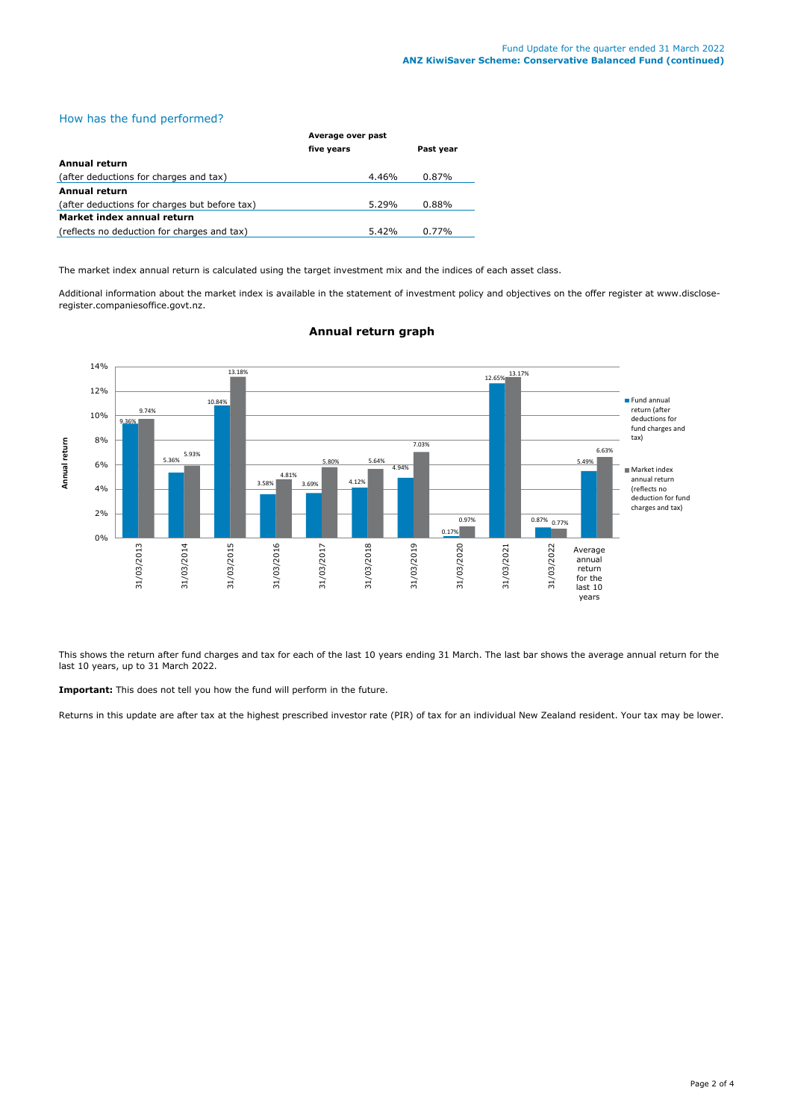# How has the fund performed?

|                                               | Average over past |           |  |
|-----------------------------------------------|-------------------|-----------|--|
|                                               | five years        | Past year |  |
| Annual return                                 |                   |           |  |
| (after deductions for charges and tax)        | 4.46%             | 0.87%     |  |
| <b>Annual return</b>                          |                   |           |  |
| (after deductions for charges but before tax) | 5.29%             | $0.88\%$  |  |
| Market index annual return                    |                   |           |  |
| (reflects no deduction for charges and tax)   | 5.42%             | $0.77\%$  |  |

The market index annual return is calculated using the target investment mix and the indices of each asset class.

Additional information about the market index is available in the statement of investment policy and objectives on the offer register at www.discloseregister.companiesoffice.govt.nz.



#### **Annual return graph**

This shows the return after fund charges and tax for each of the last 10 years ending 31 March. The last bar shows the average annual return for the last 10 years, up to 31 March 2022.

**Important:** This does not tell you how the fund will perform in the future.

Returns in this update are after tax at the highest prescribed investor rate (PIR) of tax for an individual New Zealand resident. Your tax may be lower.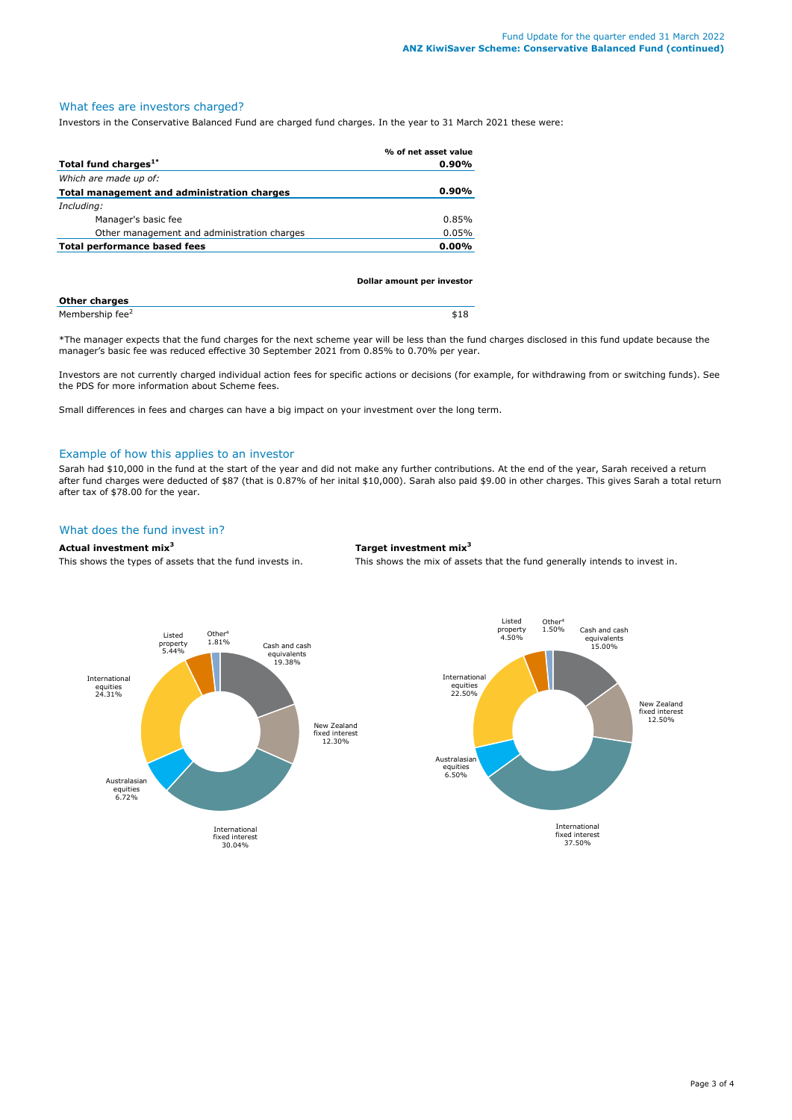#### What fees are investors charged?

Investors in the Conservative Balanced Fund are charged fund charges. In the year to 31 March 2021 these were:

|                                             | % of net asset value |
|---------------------------------------------|----------------------|
| Total fund charges <sup>1*</sup>            | $0.90\%$             |
| Which are made up of:                       |                      |
| Total management and administration charges | $0.90\%$             |
| Including:                                  |                      |
| Manager's basic fee                         | 0.85%                |
| Other management and administration charges | 0.05%                |
| Total performance based fees                | $0.00\%$             |
|                                             |                      |

|                             | Dollar amount per investor |  |
|-----------------------------|----------------------------|--|
| <b>Other charges</b>        |                            |  |
| Membership fee <sup>2</sup> | \$18                       |  |

\*The manager expects that the fund charges for the next scheme year will be less than the fund charges disclosed in this fund update because the manager's basic fee was reduced effective 30 September 2021 from 0.85% to 0.70% per year.

Investors are not currently charged individual action fees for specific actions or decisions (for example, for withdrawing from or switching funds). See the PDS for more information about Scheme fees.

Small differences in fees and charges can have a big impact on your investment over the long term.

#### Example of how this applies to an investor

Sarah had \$10,000 in the fund at the start of the year and did not make any further contributions. At the end of the year, Sarah received a return after fund charges were deducted of \$87 (that is 0.87% of her inital \$10,000). Sarah also paid \$9.00 in other charges. This gives Sarah a total return after tax of \$78.00 for the year.

## What does the fund invest in?

**Actual investment mix<sup>3</sup> Target investment mix<sup>3</sup>**

This shows the types of assets that the fund invests in. This shows the mix of assets that the fund generally intends to invest in.